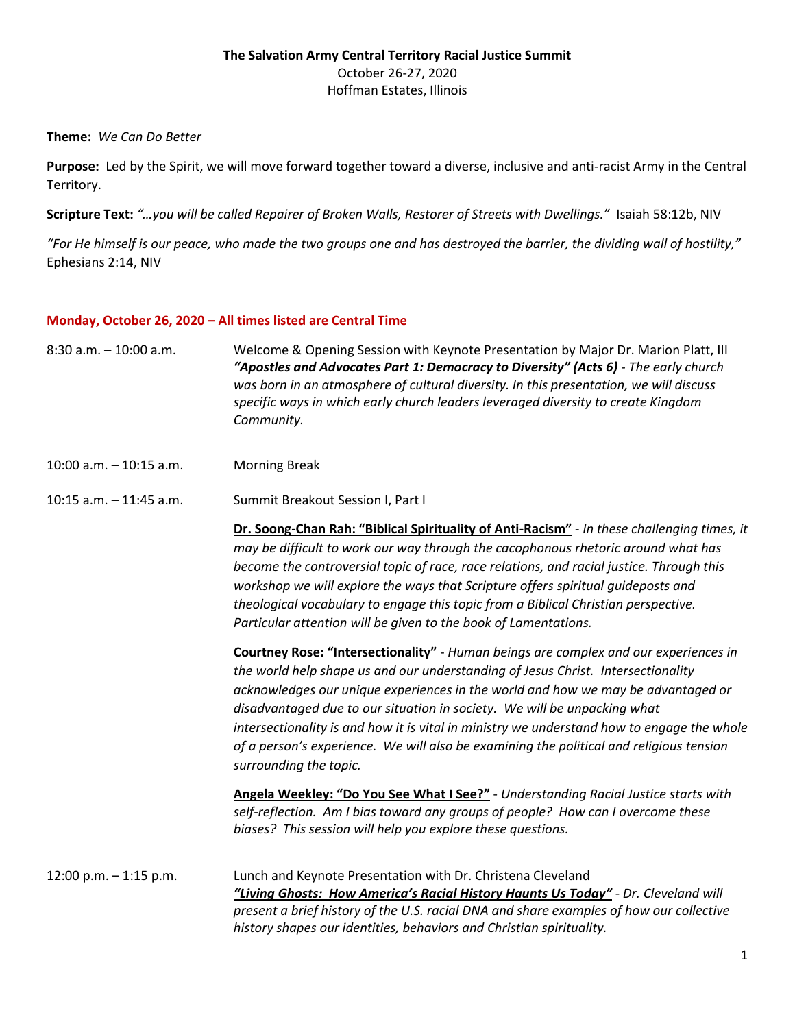## **The Salvation Army Central Territory Racial Justice Summit**  October 26-27, 2020 Hoffman Estates, Illinois

## **Theme:** *We Can Do Better*

**Purpose:** Led by the Spirit, we will move forward together toward a diverse, inclusive and anti-racist Army in the Central Territory.

**Scripture Text:** *"…you will be called Repairer of Broken Walls, Restorer of Streets with Dwellings."* Isaiah 58:12b, NIV

*"For He himself is our peace, who made the two groups one and has destroyed the barrier, the dividing wall of hostility,"* Ephesians 2:14, NIV

## **Monday, October 26, 2020 – All times listed are Central Time**

- 8:30 a.m. 10:00 a.m. Welcome & Opening Session with Keynote Presentation by Major Dr. Marion Platt, III *"Apostles and Advocates Part 1: Democracy to Diversity" (Acts 6) - The early church was born in an atmosphere of cultural diversity. In this presentation, we will discuss specific ways in which early church leaders leveraged diversity to create Kingdom Community.*
- 10:00 a.m. 10:15 a.m. Morning Break
- 10:15 a.m. 11:45 a.m. Summit Breakout Session I, Part I

**Dr. Soong-Chan Rah: "Biblical Spirituality of Anti-Racism"** - *In these challenging times, it may be difficult to work our way through the cacophonous rhetoric around what has become the controversial topic of race, race relations, and racial justice. Through this workshop we will explore the ways that Scripture offers spiritual guideposts and theological vocabulary to engage this topic from a Biblical Christian perspective. Particular attention will be given to the book of Lamentations.* 

**Courtney Rose: "Intersectionality"** - *Human beings are complex and our experiences in the world help shape us and our understanding of Jesus Christ. Intersectionality acknowledges our unique experiences in the world and how we may be advantaged or disadvantaged due to our situation in society. We will be unpacking what intersectionality is and how it is vital in ministry we understand how to engage the whole of a person's experience. We will also be examining the political and religious tension surrounding the topic.*

**Angela Weekley: "Do You See What I See?"** - *Understanding Racial Justice starts with self-reflection. Am I bias toward any groups of people? How can I overcome these biases? This session will help you explore these questions.* 

12:00 p.m. – 1:15 p.m. Lunch and Keynote Presentation with Dr. Christena Cleveland *"Living Ghosts: How America's Racial History Haunts Us Today" - Dr. Cleveland will present a brief history of the U.S. racial DNA and share examples of how our collective history shapes our identities, behaviors and Christian spirituality.*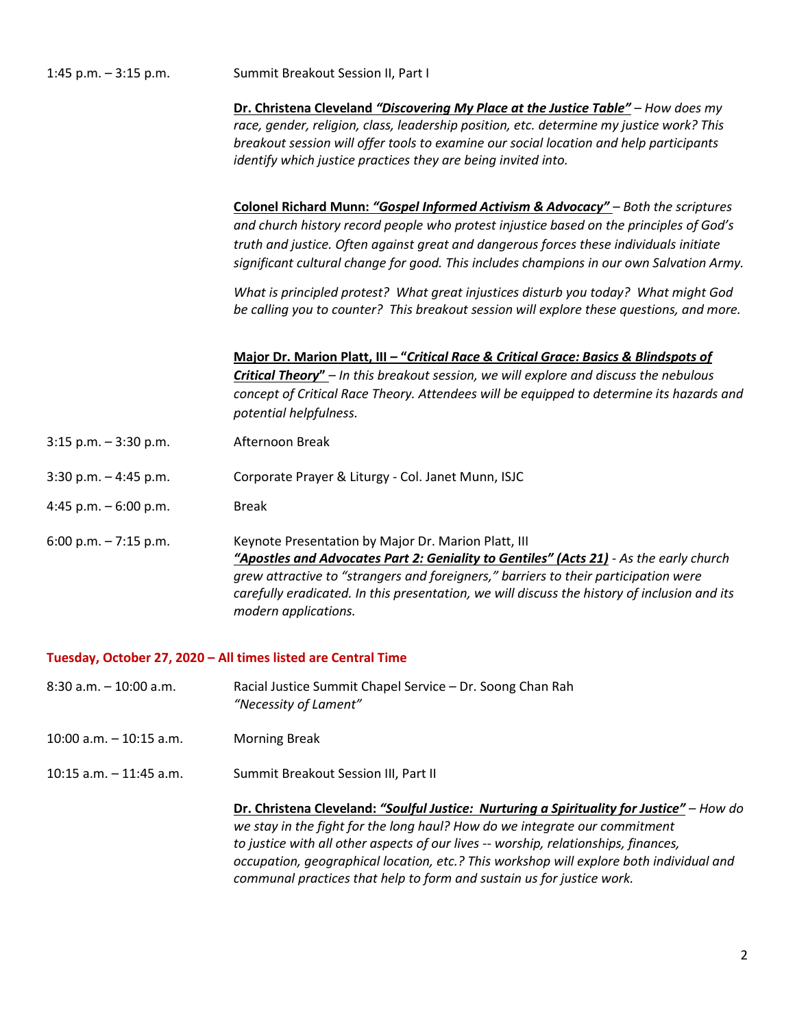| 1:45 p.m. - 3:15 p.m.                                         | Summit Breakout Session II, Part I                                                                                                                                                                                                                                                                                                                                 |
|---------------------------------------------------------------|--------------------------------------------------------------------------------------------------------------------------------------------------------------------------------------------------------------------------------------------------------------------------------------------------------------------------------------------------------------------|
|                                                               | Dr. Christena Cleveland "Discovering My Place at the Justice Table" - How does my<br>race, gender, religion, class, leadership position, etc. determine my justice work? This<br>breakout session will offer tools to examine our social location and help participants<br>identify which justice practices they are being invited into.                           |
|                                                               | Colonel Richard Munn: "Gospel Informed Activism & Advocacy" - Both the scriptures<br>and church history record people who protest injustice based on the principles of God's<br>truth and justice. Often against great and dangerous forces these individuals initiate<br>significant cultural change for good. This includes champions in our own Salvation Army. |
|                                                               | What is principled protest? What great injustices disturb you today? What might God<br>be calling you to counter? This breakout session will explore these questions, and more.                                                                                                                                                                                    |
|                                                               | Major Dr. Marion Platt, III - "Critical Race & Critical Grace: Basics & Blindspots of<br>Critical Theory" - In this breakout session, we will explore and discuss the nebulous<br>concept of Critical Race Theory. Attendees will be equipped to determine its hazards and<br>potential helpfulness.                                                               |
| $3:15$ p.m. $-3:30$ p.m.                                      | Afternoon Break                                                                                                                                                                                                                                                                                                                                                    |
| $3:30$ p.m. $-4:45$ p.m.                                      | Corporate Prayer & Liturgy - Col. Janet Munn, ISJC                                                                                                                                                                                                                                                                                                                 |
| 4:45 p.m. $-6:00$ p.m.                                        | <b>Break</b>                                                                                                                                                                                                                                                                                                                                                       |
| 6:00 p.m. $-7:15$ p.m.                                        | Keynote Presentation by Major Dr. Marion Platt, III<br>"Apostles and Advocates Part 2: Geniality to Gentiles" (Acts 21) - As the early church<br>grew attractive to "strangers and foreigners," barriers to their participation were<br>carefully eradicated. In this presentation, we will discuss the history of inclusion and its<br>modern applications.       |
| Tuesday, October 27, 2020 - All times listed are Central Time |                                                                                                                                                                                                                                                                                                                                                                    |

- 8:30 a.m. 10:00 a.m. Racial Justice Summit Chapel Service Dr. Soong Chan Rah *"Necessity of Lament"*
- 10:00 a.m. 10:15 a.m. Morning Break
- 10:15 a.m. 11:45 a.m. Summit Breakout Session III, Part II

**Dr. Christena Cleveland:** *"Soulful Justice: Nurturing a Spirituality for Justice"* – *How do we stay in the fight for the long haul? How do we integrate our commitment to justice with all other aspects of our lives -- worship, relationships, finances, occupation, geographical location, etc.? This workshop will explore both individual and communal practices that help to form and sustain us for justice work.*